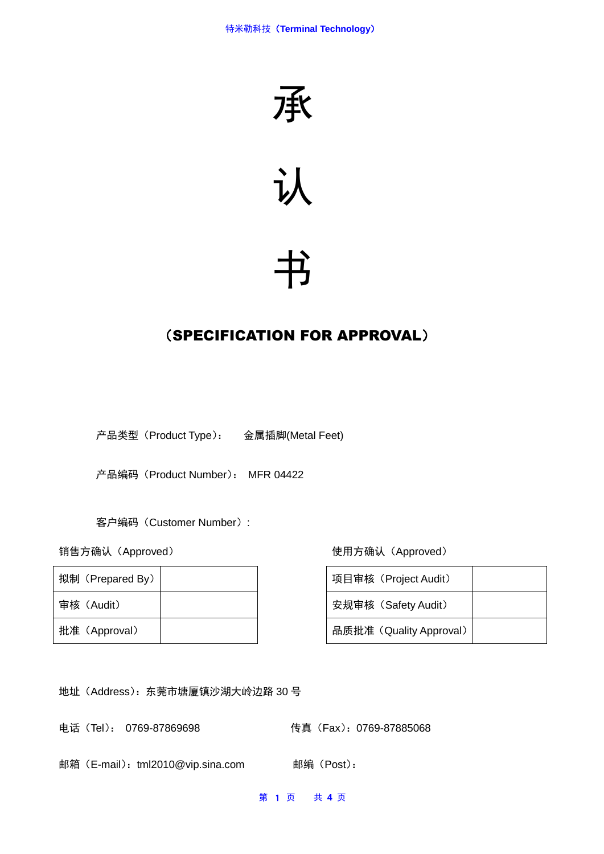



# 书

# (SPECIFICATION FOR APPROVAL)

产品类型(Product Type): 金属插脚(Metal Feet)

产品编码(Product Number): MFR 04422

客户编码(Customer Number):

| 拟制 (Prepared By) |  | 项目审核(Project Audit)     |
|------------------|--|-------------------------|
| 审核(Audit)        |  | 安规审核 (Safety Audit)     |
| 批准 (Approval)    |  | 品质批准 (Quality Approval) |

销售方确认(Approved) 使用方确认(Approved)

| 项目审核 (Project Audit)    |  |
|-------------------------|--|
| 安规审核 (Safety Audit)     |  |
| 品质批准 (Quality Approval) |  |

地址(Address):东莞市塘厦镇沙湖大岭边路 30 号

电话(Tel): 0769-87869698 传真(Fax):0769-87885068

邮箱(E-mail):tml2010@vip.sina.com 邮编(Post):

第 1 页 共 **4** 页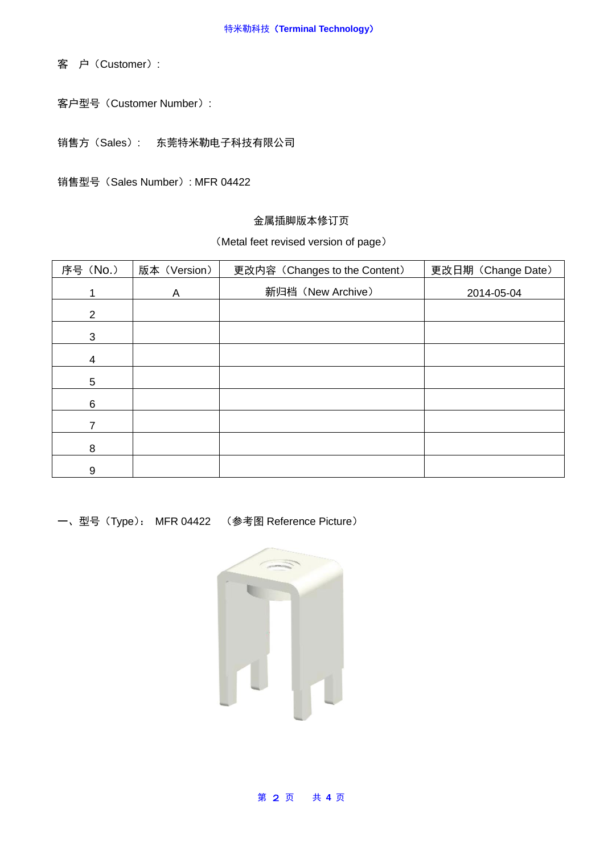客 户(Customer):

客户型号(Customer Number):

销售方(Sales): 东莞特米勒电子科技有限公司

销售型号(Sales Number): MFR 04422

## 金属插脚版本修订页

#### (Metal feet revised version of page)

| 序号 (No.)       | 版本 (Version) | 更改内容 (Changes to the Content) | 更改日期 (Change Date) |
|----------------|--------------|-------------------------------|--------------------|
|                | A            | 新归档 (New Archive)             | 2014-05-04         |
| $\overline{2}$ |              |                               |                    |
| 3              |              |                               |                    |
| 4              |              |                               |                    |
| 5              |              |                               |                    |
| 6              |              |                               |                    |
|                |              |                               |                    |
| 8              |              |                               |                    |
| 9              |              |                               |                    |

一、型号(Type): MFR 04422 (参考图 Reference Picture)



#### 第 2 页 共 **4** 页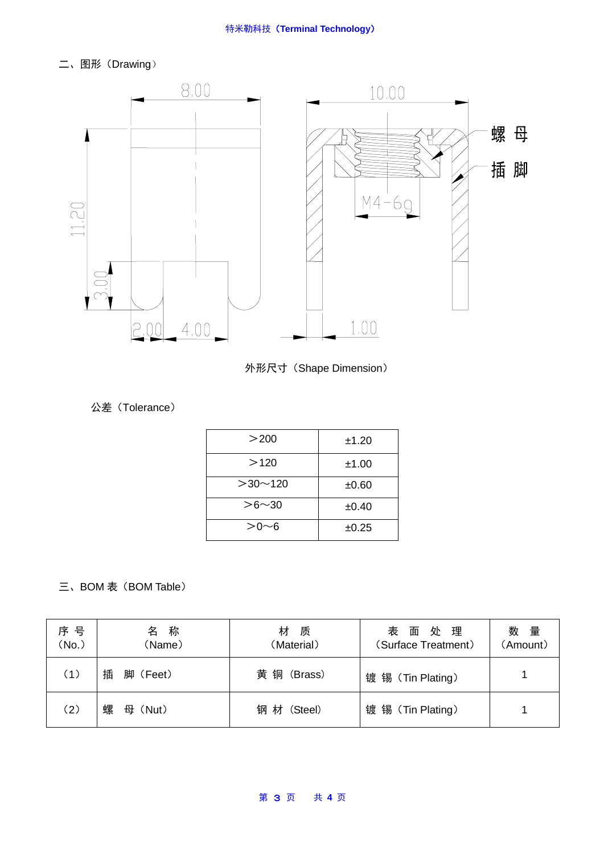二、图形(Drawing)



外形尺寸(Shape Dimension)

公差(Tolerance)

| >200          | ±1.20 |
|---------------|-------|
| >120          | ±1.00 |
| $>30$ ~ 120   | ±0.60 |
| $> 6 \sim 30$ | ±0.40 |
| $> 0 \sim 6$  | ±0.25 |

# 三、BOM 表 (BOM Table)

| 序 号<br>(No.) | 称<br>名<br>(Name) | 材<br>质<br>(Material) | 处 理<br>表<br>面<br>(Surface Treatment) | 数量<br>(Amount) |
|--------------|------------------|----------------------|--------------------------------------|----------------|
| (1)          | 插<br>脚 (Feet)    | 黄 铜 (Brass)          | 镀 锡 (Tin Plating)                    |                |
| (2)          | 螺<br>母 (Nut)     | 钢 材 (Steel)          | 镀锡(Tin Plating)                      |                |